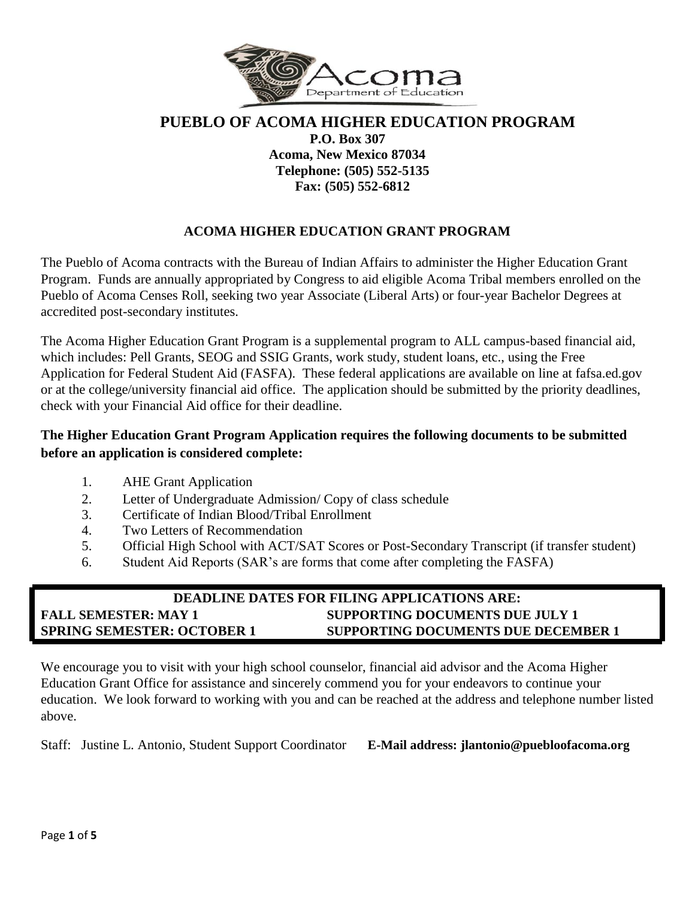

# **PUEBLO OF ACOMA HIGHER EDUCATION PROGRAM P.O. Box 307 Acoma, New Mexico 87034 Telephone: (505) 552-5135 Fax: (505) 552-6812**

# **ACOMA HIGHER EDUCATION GRANT PROGRAM**

The Pueblo of Acoma contracts with the Bureau of Indian Affairs to administer the Higher Education Grant Program. Funds are annually appropriated by Congress to aid eligible Acoma Tribal members enrolled on the Pueblo of Acoma Censes Roll, seeking two year Associate (Liberal Arts) or four-year Bachelor Degrees at accredited post-secondary institutes.

The Acoma Higher Education Grant Program is a supplemental program to ALL campus-based financial aid, which includes: Pell Grants, SEOG and SSIG Grants, work study, student loans, etc., using the Free Application for Federal Student Aid (FASFA). These federal applications are available on line at fafsa.ed.gov or at the college/university financial aid office. The application should be submitted by the priority deadlines, check with your Financial Aid office for their deadline.

## **The Higher Education Grant Program Application requires the following documents to be submitted before an application is considered complete:**

- 1. AHE Grant Application
- 2. Letter of Undergraduate Admission/ Copy of class schedule
- 3. Certificate of Indian Blood/Tribal Enrollment
- 4. Two Letters of Recommendation
- 5. Official High School with ACT/SAT Scores or Post-Secondary Transcript (if transfer student)
- 6. Student Aid Reports (SAR's are forms that come after completing the FASFA)

# **DEADLINE DATES FOR FILING APPLICATIONS ARE: FALL SEMESTER: MAY 1 SUPPORTING DOCUMENTS DUE JULY 1 SPRING SEMESTER: OCTOBER 1 SUPPORTING DOCUMENTS DUE DECEMBER 1**

We encourage you to visit with your high school counselor, financial aid advisor and the Acoma Higher Education Grant Office for assistance and sincerely commend you for your endeavors to continue your education. We look forward to working with you and can be reached at the address and telephone number listed above.

Staff: Justine L. Antonio, Student Support Coordinator **E-Mail address: jlantonio@puebloofacoma.org**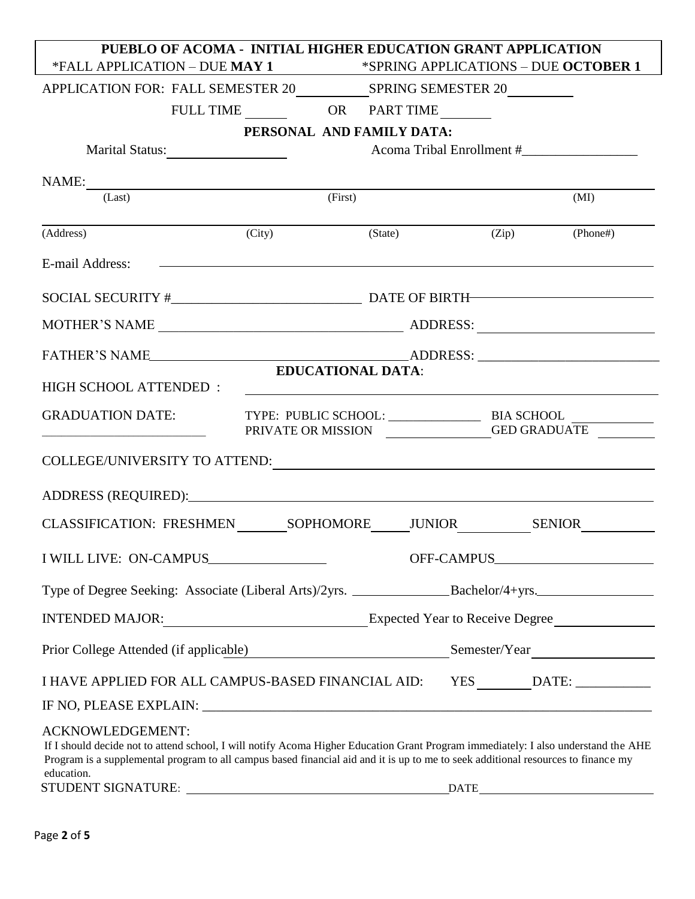| PUEBLO OF ACOMA - INITIAL HIGHER EDUCATION GRANT APPLICATION                                                                                                                                                                                                                                                     |                                 |                          |                                      |  |                                             |  |
|------------------------------------------------------------------------------------------------------------------------------------------------------------------------------------------------------------------------------------------------------------------------------------------------------------------|---------------------------------|--------------------------|--------------------------------------|--|---------------------------------------------|--|
| *FALL APPLICATION - DUE MAY 1                                                                                                                                                                                                                                                                                    |                                 |                          | *SPRING APPLICATIONS - DUE OCTOBER 1 |  |                                             |  |
|                                                                                                                                                                                                                                                                                                                  |                                 |                          |                                      |  |                                             |  |
|                                                                                                                                                                                                                                                                                                                  | FULL TIME OR PART TIME          |                          |                                      |  |                                             |  |
|                                                                                                                                                                                                                                                                                                                  | PERSONAL AND FAMILY DATA:       |                          |                                      |  |                                             |  |
|                                                                                                                                                                                                                                                                                                                  |                                 |                          |                                      |  | Acoma Tribal Enrollment #__________________ |  |
| NAME:                                                                                                                                                                                                                                                                                                            |                                 |                          |                                      |  |                                             |  |
| (Last)                                                                                                                                                                                                                                                                                                           |                                 | (First)                  |                                      |  | (MI)                                        |  |
| (Address)                                                                                                                                                                                                                                                                                                        | (City)                          |                          | (State)                              |  | $(Zip)$ (Phone#)                            |  |
| <u> 1980 - Andrea Stadt Britain, amerikansk fotograf i den stadt fotograf i den stadt fotograf i den stadt fotogr</u><br>E-mail Address:                                                                                                                                                                         |                                 |                          |                                      |  |                                             |  |
|                                                                                                                                                                                                                                                                                                                  |                                 |                          |                                      |  |                                             |  |
|                                                                                                                                                                                                                                                                                                                  |                                 |                          |                                      |  |                                             |  |
|                                                                                                                                                                                                                                                                                                                  |                                 |                          |                                      |  |                                             |  |
| HIGH SCHOOL ATTENDED:                                                                                                                                                                                                                                                                                            |                                 | <b>EDUCATIONAL DATA:</b> |                                      |  |                                             |  |
| <b>GRADUATION DATE:</b>                                                                                                                                                                                                                                                                                          | PRIVATE OR MISSION GED GRADUATE |                          |                                      |  |                                             |  |
| COLLEGE/UNIVERSITY TO ATTEND: University of the set of the set of the set of the set of the set of the set of the set of the set of the set of the set of the set of the set of the set of the set of the set of the set of th                                                                                   |                                 |                          |                                      |  |                                             |  |
| ADDRESS (REQUIRED): Note and the set of the set of the set of the set of the set of the set of the set of the set of the set of the set of the set of the set of the set of the set of the set of the set of the set of the se                                                                                   |                                 |                          |                                      |  |                                             |  |
|                                                                                                                                                                                                                                                                                                                  |                                 |                          |                                      |  |                                             |  |
|                                                                                                                                                                                                                                                                                                                  |                                 |                          |                                      |  |                                             |  |
|                                                                                                                                                                                                                                                                                                                  |                                 |                          |                                      |  |                                             |  |
| INTENDED MAJOR: Expected Year to Receive Degree                                                                                                                                                                                                                                                                  |                                 |                          |                                      |  |                                             |  |
| Prior College Attended (if applicable)                                                                                                                                                                                                                                                                           |                                 |                          |                                      |  | Semester/Year                               |  |
| I HAVE APPLIED FOR ALL CAMPUS-BASED FINANCIAL AID: YES _______DATE: ___________                                                                                                                                                                                                                                  |                                 |                          |                                      |  |                                             |  |
|                                                                                                                                                                                                                                                                                                                  |                                 |                          |                                      |  |                                             |  |
| <b>ACKNOWLEDGEMENT:</b><br>If I should decide not to attend school, I will notify Acoma Higher Education Grant Program immediately: I also understand the AHE<br>Program is a supplemental program to all campus based financial aid and it is up to me to seek additional resources to finance my<br>education. |                                 |                          |                                      |  |                                             |  |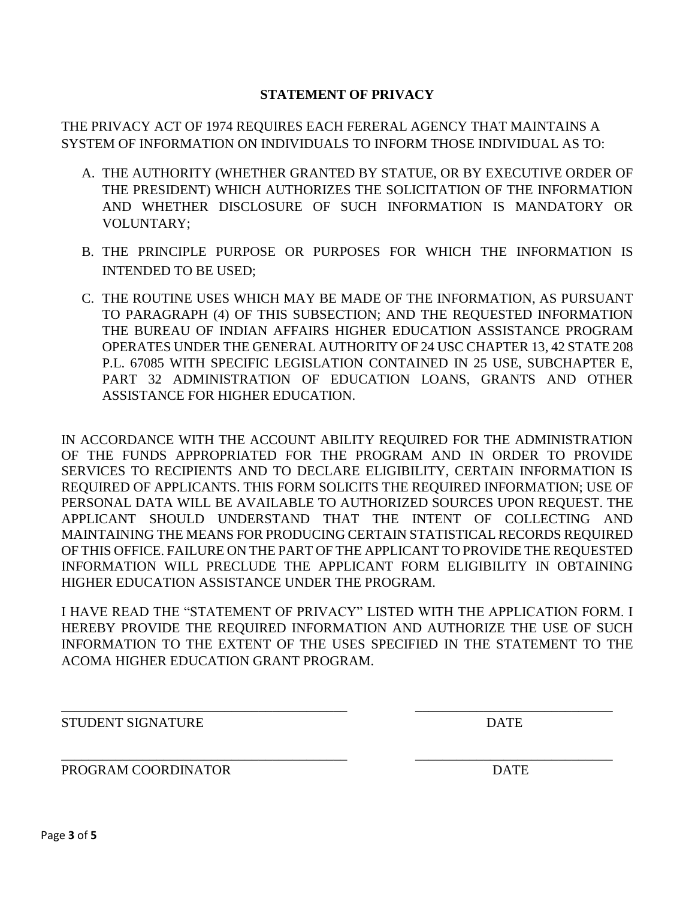## **STATEMENT OF PRIVACY**

THE PRIVACY ACT OF 1974 REQUIRES EACH FERERAL AGENCY THAT MAINTAINS A SYSTEM OF INFORMATION ON INDIVIDUALS TO INFORM THOSE INDIVIDUAL AS TO:

- A. THE AUTHORITY (WHETHER GRANTED BY STATUE, OR BY EXECUTIVE ORDER OF THE PRESIDENT) WHICH AUTHORIZES THE SOLICITATION OF THE INFORMATION AND WHETHER DISCLOSURE OF SUCH INFORMATION IS MANDATORY OR VOLUNTARY;
- B. THE PRINCIPLE PURPOSE OR PURPOSES FOR WHICH THE INFORMATION IS INTENDED TO BE USED;
- C. THE ROUTINE USES WHICH MAY BE MADE OF THE INFORMATION, AS PURSUANT TO PARAGRAPH (4) OF THIS SUBSECTION; AND THE REQUESTED INFORMATION THE BUREAU OF INDIAN AFFAIRS HIGHER EDUCATION ASSISTANCE PROGRAM OPERATES UNDER THE GENERAL AUTHORITY OF 24 USC CHAPTER 13, 42 STATE 208 P.L. 67085 WITH SPECIFIC LEGISLATION CONTAINED IN 25 USE, SUBCHAPTER E, PART 32 ADMINISTRATION OF EDUCATION LOANS, GRANTS AND OTHER ASSISTANCE FOR HIGHER EDUCATION.

IN ACCORDANCE WITH THE ACCOUNT ABILITY REQUIRED FOR THE ADMINISTRATION OF THE FUNDS APPROPRIATED FOR THE PROGRAM AND IN ORDER TO PROVIDE SERVICES TO RECIPIENTS AND TO DECLARE ELIGIBILITY, CERTAIN INFORMATION IS REQUIRED OF APPLICANTS. THIS FORM SOLICITS THE REQUIRED INFORMATION; USE OF PERSONAL DATA WILL BE AVAILABLE TO AUTHORIZED SOURCES UPON REQUEST. THE APPLICANT SHOULD UNDERSTAND THAT THE INTENT OF COLLECTING AND MAINTAINING THE MEANS FOR PRODUCING CERTAIN STATISTICAL RECORDS REQUIRED OF THIS OFFICE. FAILURE ON THE PART OF THE APPLICANT TO PROVIDE THE REQUESTED INFORMATION WILL PRECLUDE THE APPLICANT FORM ELIGIBILITY IN OBTAINING HIGHER EDUCATION ASSISTANCE UNDER THE PROGRAM.

I HAVE READ THE "STATEMENT OF PRIVACY" LISTED WITH THE APPLICATION FORM. I HEREBY PROVIDE THE REQUIRED INFORMATION AND AUTHORIZE THE USE OF SUCH INFORMATION TO THE EXTENT OF THE USES SPECIFIED IN THE STATEMENT TO THE ACOMA HIGHER EDUCATION GRANT PROGRAM.

\_\_\_\_\_\_\_\_\_\_\_\_\_\_\_\_\_\_\_\_\_\_\_\_\_\_\_\_\_\_\_\_\_\_\_\_\_\_\_\_\_\_ \_\_\_\_\_\_\_\_\_\_\_\_\_\_\_\_\_\_\_\_\_\_\_\_\_\_\_\_\_

\_\_\_\_\_\_\_\_\_\_\_\_\_\_\_\_\_\_\_\_\_\_\_\_\_\_\_\_\_\_\_\_\_\_\_\_\_\_\_\_\_\_ \_\_\_\_\_\_\_\_\_\_\_\_\_\_\_\_\_\_\_\_\_\_\_\_\_\_\_\_\_

STUDENT SIGNATURE DATE

PROGRAM COORDINATOR **DATE**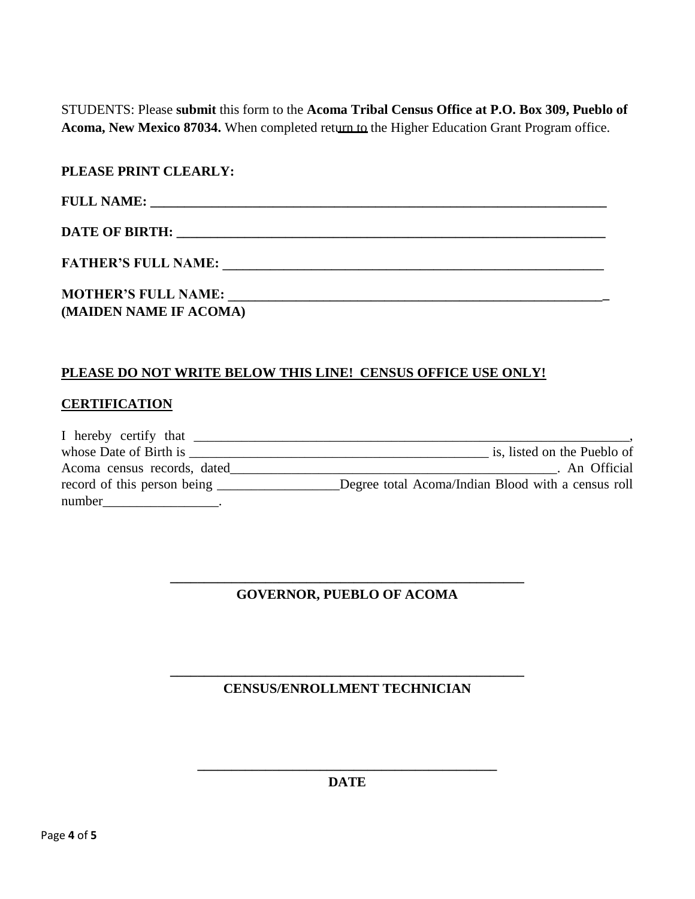STUDENTS: Please **submit** this form to the **Acoma Tribal Census Office at P.O. Box 309, Pueblo of Acoma, New Mexico 87034.** When completed return to the Higher Education Grant Program office.

| PLEASE PRINT CLEARLY:  |  |
|------------------------|--|
|                        |  |
|                        |  |
| FATHER'S FULL NAME:    |  |
|                        |  |
| (MAIDEN NAME IF ACOMA) |  |

## **PLEASE DO NOT WRITE BELOW THIS LINE! CENSUS OFFICE USE ONLY!**

## **CERTIFICATION**

| I hereby certify that       |                                                    |
|-----------------------------|----------------------------------------------------|
| whose Date of Birth is      | is, listed on the Pueblo of                        |
| Acoma census records, dated | An Official                                        |
| record of this person being | Degree total Acoma/Indian Blood with a census roll |
| number                      |                                                    |

## **\_\_\_\_\_\_\_\_\_\_\_\_\_\_\_\_\_\_\_\_\_\_\_\_\_\_\_\_\_\_\_\_\_\_\_\_\_\_\_\_\_\_\_\_\_\_\_\_\_\_\_\_ GOVERNOR, PUEBLO OF ACOMA**

## **\_\_\_\_\_\_\_\_\_\_\_\_\_\_\_\_\_\_\_\_\_\_\_\_\_\_\_\_\_\_\_\_\_\_\_\_\_\_\_\_\_\_\_\_\_\_\_\_\_\_\_\_ CENSUS/ENROLLMENT TECHNICIAN**